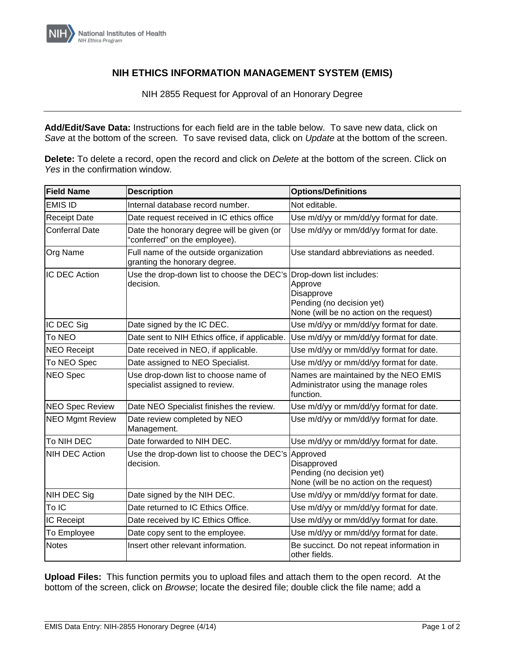

## **NIH ETHICS INFORMATION MANAGEMENT SYSTEM (EMIS)**

NIH 2855 Request for Approval of an Honorary Degree

**Add/Edit/Save Data:** Instructions for each field are in the table below. To save new data, click on *Save* at the bottom of the screen. To save revised data, click on *Update* at the bottom of the screen.

**Delete:** To delete a record, open the record and click on *Delete* at the bottom of the screen. Click on *Yes* in the confirmation window.

| <b>Field Name</b>      | <b>Description</b>                                                               | <b>Options/Definitions</b>                                                                    |
|------------------------|----------------------------------------------------------------------------------|-----------------------------------------------------------------------------------------------|
| <b>EMIS ID</b>         | Internal database record number.                                                 | Not editable.                                                                                 |
| <b>Receipt Date</b>    | Date request received in IC ethics office                                        | Use m/d/yy or mm/dd/yy format for date.                                                       |
| <b>Conferral Date</b>  | Date the honorary degree will be given (or<br>'conferred" on the employee).      | Use m/d/yy or mm/dd/yy format for date.                                                       |
| Org Name               | Full name of the outside organization<br>granting the honorary degree.           | Use standard abbreviations as needed.                                                         |
| IC DEC Action          | Use the drop-down list to choose the DEC's Drop-down list includes:<br>decision. | Approve<br>Disapprove<br>Pending (no decision yet)<br>None (will be no action on the request) |
| IC DEC Sig             | Date signed by the IC DEC.                                                       | Use m/d/yy or mm/dd/yy format for date.                                                       |
| <b>To NEO</b>          | Date sent to NIH Ethics office, if applicable.                                   | Use m/d/yy or mm/dd/yy format for date.                                                       |
| <b>NEO Receipt</b>     | Date received in NEO, if applicable.                                             | Use m/d/yy or mm/dd/yy format for date.                                                       |
| To NEO Spec            | Date assigned to NEO Specialist.                                                 | Use m/d/yy or mm/dd/yy format for date.                                                       |
| <b>NEO Spec</b>        | Use drop-down list to choose name of<br>specialist assigned to review.           | Names are maintained by the NEO EMIS<br>Administrator using the manage roles<br>function.     |
| <b>NEO Spec Review</b> | Date NEO Specialist finishes the review.                                         | Use m/d/yy or mm/dd/yy format for date.                                                       |
| <b>NEO Mgmt Review</b> | Date review completed by NEO<br>Management.                                      | Use m/d/yy or mm/dd/yy format for date.                                                       |
| To NIH DEC             | Date forwarded to NIH DEC.                                                       | Use m/d/yy or mm/dd/yy format for date.                                                       |
| NIH DEC Action         | Use the drop-down list to choose the DEC's Approved<br>decision.                 | Disapproved<br>Pending (no decision yet)<br>None (will be no action on the request)           |
| NIH DEC Sig            | Date signed by the NIH DEC.                                                      | Use m/d/yy or mm/dd/yy format for date.                                                       |
| To IC                  | Date returned to IC Ethics Office.                                               | Use m/d/yy or mm/dd/yy format for date.                                                       |
| IC Receipt             | Date received by IC Ethics Office.                                               | Use m/d/yy or mm/dd/yy format for date.                                                       |
| To Employee            | Date copy sent to the employee.                                                  | Use m/d/yy or mm/dd/yy format for date.                                                       |
| <b>Notes</b>           | Insert other relevant information.                                               | Be succinct. Do not repeat information in<br>other fields.                                    |

**Upload Files:** This function permits you to upload files and attach them to the open record. At the bottom of the screen, click on *Browse*; locate the desired file; double click the file name; add a